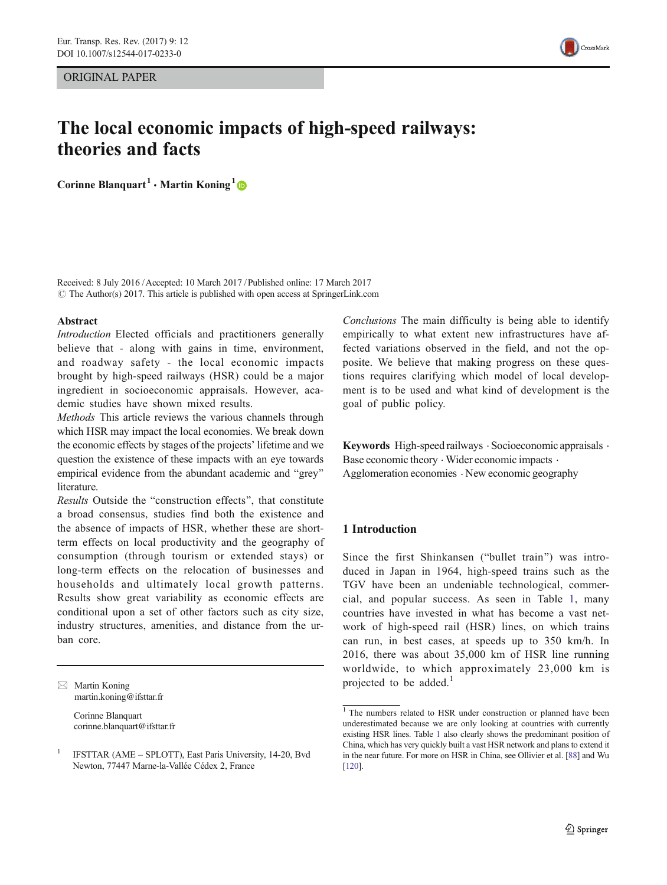ORIGINAL PAPER



# The local economic impacts of high-speed railways: theories and facts

Corinne Blanquart<sup>1</sup> • Martin Koning<sup>1</sup>

Received: 8 July 2016 /Accepted: 10 March 2017 / Published online: 17 March 2017  $\odot$  The Author(s) 2017. This article is published with open access at SpringerLink.com

#### Abstract

Introduction Elected officials and practitioners generally believe that - along with gains in time, environment, and roadway safety - the local economic impacts brought by high-speed railways (HSR) could be a major ingredient in socioeconomic appraisals. However, academic studies have shown mixed results.

Methods This article reviews the various channels through which HSR may impact the local economies. We break down the economic effects by stages of the projects' lifetime and we question the existence of these impacts with an eye towards empirical evidence from the abundant academic and "grey" literature.

Results Outside the "construction effects", that constitute a broad consensus, studies find both the existence and the absence of impacts of HSR, whether these are shortterm effects on local productivity and the geography of consumption (through tourism or extended stays) or long-term effects on the relocation of businesses and households and ultimately local growth patterns. Results show great variability as economic effects are conditional upon a set of other factors such as city size, industry structures, amenities, and distance from the urban core.

 $\boxtimes$  Martin Koning martin.koning@ifsttar.fr

> Corinne Blanquart corinne.blanquart@ifsttar.fr

Conclusions The main difficulty is being able to identify empirically to what extent new infrastructures have affected variations observed in the field, and not the opposite. We believe that making progress on these questions requires clarifying which model of local development is to be used and what kind of development is the goal of public policy.

Keywords High-speed railways . Socioeconomic appraisals . Base economic theory  $\cdot$  Wider economic impacts  $\cdot$ Agglomeration economies . New economic geography

## 1 Introduction

Since the first Shinkansen ("bullet train") was introduced in Japan in 1964, high-speed trains such as the TGV have been an undeniable technological, commercial, and popular success. As seen in Table [1](#page-1-0), many countries have invested in what has become a vast network of high-speed rail (HSR) lines, on which trains can run, in best cases, at speeds up to 350 km/h. In 2016, there was about 35,000 km of HSR line running worldwide, to which approximately 23,000 km is projected to be added. $<sup>1</sup>$ </sup>

<sup>1</sup> IFSTTAR (AME – SPLOTT), East Paris University, 14-20, Bvd Newton, 77447 Marne-la-Vallée Cédex 2, France

<sup>&</sup>lt;sup>1</sup> The numbers related to HSR under construction or planned have been underestimated because we are only looking at countries with currently existing HSR lines. Table [1](#page-1-0) also clearly shows the predominant position of China, which has very quickly built a vast HSR network and plans to extend it in the near future. For more on HSR in China, see Ollivier et al. [[88](#page-12-0)] and Wu [[120](#page-13-0)].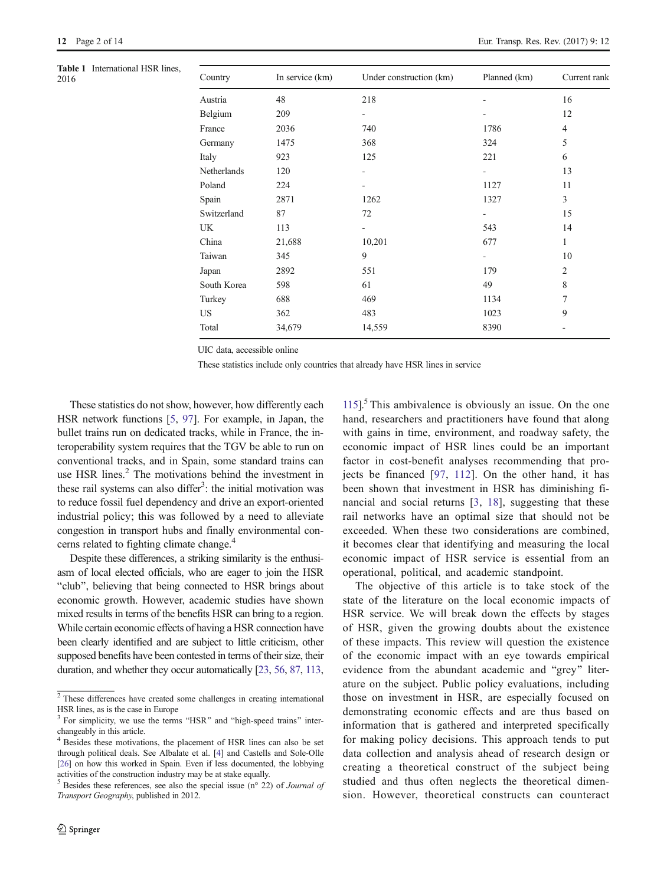<span id="page-1-0"></span>

| Table 1 International HSR lines,<br>2016 | Country     | In service (km) | Under construction (km)  | Planned (km) | Current rank             |
|------------------------------------------|-------------|-----------------|--------------------------|--------------|--------------------------|
|                                          | Austria     | 48              | 218                      |              | 16                       |
|                                          | Belgium     | 209             |                          |              | 12                       |
|                                          | France      | 2036            | 740                      | 1786         | 4                        |
|                                          | Germany     | 1475            | 368                      | 324          | 5                        |
|                                          | Italy       | 923             | 125                      | 221          | 6                        |
|                                          | Netherlands | 120             | -                        |              | 13                       |
|                                          | Poland      | 224             | ۰                        | 1127         | 11                       |
|                                          | Spain       | 2871            | 1262                     | 1327         | $\overline{3}$           |
|                                          | Switzerland | 87              | 72                       | ٠.           | 15                       |
|                                          | UK          | 113             | $\overline{\phantom{a}}$ | 543          | 14                       |
|                                          | China       | 21,688          | 10,201                   | 677          | $\mathbf{1}$             |
|                                          | Taiwan      | 345             | 9                        |              | 10                       |
|                                          | Japan       | 2892            | 551                      | 179          | $\overline{2}$           |
|                                          | South Korea | 598             | 61                       | 49           | 8                        |
|                                          | Turkey      | 688             | 469                      | 1134         | $\overline{7}$           |
|                                          | US          | 362             | 483                      | 1023         | 9                        |
|                                          | Total       | 34,679          | 14,559                   | 8390         | $\overline{\phantom{a}}$ |
|                                          |             |                 |                          |              |                          |

UIC data, accessible online

These statistics include only countries that already have HSR lines in service

These statistics do not show, however, how differently each HSR network functions [\[5,](#page-10-0) [97\]](#page-13-0). For example, in Japan, the bullet trains run on dedicated tracks, while in France, the interoperability system requires that the TGV be able to run on conventional tracks, and in Spain, some standard trains can use HSR lines.<sup>2</sup> The motivations behind the investment in these rail systems can also differ<sup>3</sup>: the initial motivation was to reduce fossil fuel dependency and drive an export-oriented industrial policy; this was followed by a need to alleviate congestion in transport hubs and finally environmental concerns related to fighting climate change.<sup>4</sup>

Despite these differences, a striking similarity is the enthusiasm of local elected officials, who are eager to join the HSR "club", believing that being connected to HSR brings about economic growth. However, academic studies have shown mixed results in terms of the benefits HSR can bring to a region. While certain economic effects of having a HSR connection have been clearly identified and are subject to little criticism, other supposed benefits have been contested in terms of their size, their duration, and whether they occur automatically [\[23](#page-11-0), [56](#page-12-0), [87](#page-12-0), [113,](#page-13-0)

 $115$ <sup>5</sup>. This ambivalence is obviously an issue. On the one hand, researchers and practitioners have found that along with gains in time, environment, and roadway safety, the economic impact of HSR lines could be an important factor in cost-benefit analyses recommending that projects be financed [[97](#page-13-0), [112\]](#page-13-0). On the other hand, it has been shown that investment in HSR has diminishing financial and social returns [[3](#page-10-0), [18](#page-11-0)], suggesting that these rail networks have an optimal size that should not be exceeded. When these two considerations are combined, it becomes clear that identifying and measuring the local economic impact of HSR service is essential from an operational, political, and academic standpoint.

The objective of this article is to take stock of the state of the literature on the local economic impacts of HSR service. We will break down the effects by stages of HSR, given the growing doubts about the existence of these impacts. This review will question the existence of the economic impact with an eye towards empirical evidence from the abundant academic and "grey" literature on the subject. Public policy evaluations, including those on investment in HSR, are especially focused on demonstrating economic effects and are thus based on information that is gathered and interpreted specifically for making policy decisions. This approach tends to put data collection and analysis ahead of research design or creating a theoretical construct of the subject being studied and thus often neglects the theoretical dimension. However, theoretical constructs can counteract

 $\sqrt{2}$  These differences have created some challenges in creating international HSR lines, as is the case in Europe

 $3$  For simplicity, we use the terms "HSR" and "high-speed trains" interchangeably in this article.

Besides these motivations, the placement of HSR lines can also be set through political deals. See Albalate et al. [\[4](#page-10-0)] and Castells and Sole-Olle [[26](#page-11-0)] on how this worked in Spain. Even if less documented, the lobbying activities of the construction industry may be at stake equally.

 $<sup>5</sup>$  Besides these references, see also the special issue (n° 22) of *Journal of*</sup> Transport Geography, published in 2012.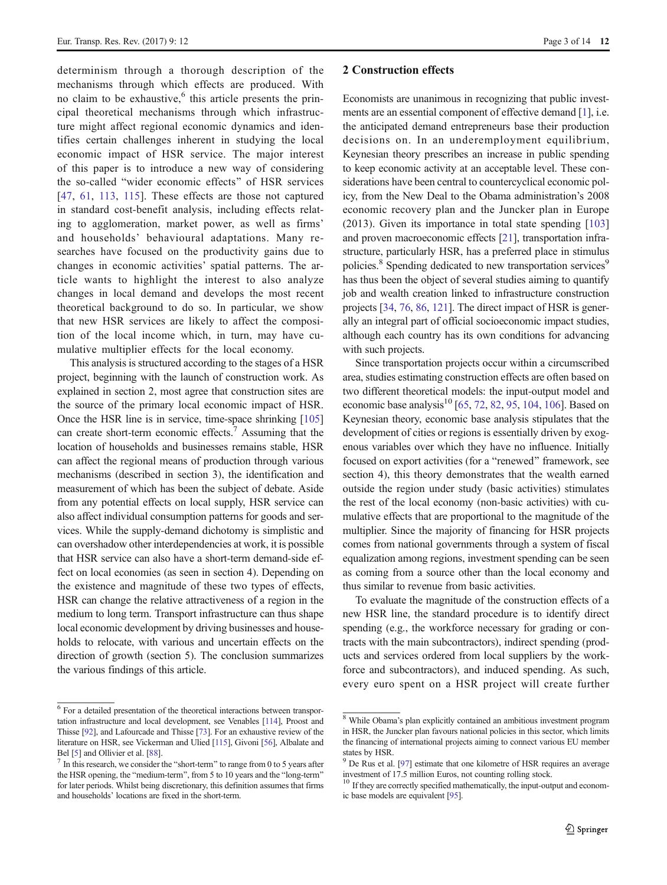determinism through a thorough description of the mechanisms through which effects are produced. With no claim to be exhaustive, $6$  this article presents the principal theoretical mechanisms through which infrastructure might affect regional economic dynamics and identifies certain challenges inherent in studying the local economic impact of HSR service. The major interest of this paper is to introduce a new way of considering the so-called "wider economic effects" of HSR services [\[47,](#page-11-0) [61,](#page-12-0) [113](#page-13-0), [115](#page-13-0)]. These effects are those not captured in standard cost-benefit analysis, including effects relating to agglomeration, market power, as well as firms' and households' behavioural adaptations. Many researches have focused on the productivity gains due to changes in economic activities' spatial patterns. The article wants to highlight the interest to also analyze changes in local demand and develops the most recent theoretical background to do so. In particular, we show that new HSR services are likely to affect the composition of the local income which, in turn, may have cumulative multiplier effects for the local economy.

This analysis is structured according to the stages of a HSR project, beginning with the launch of construction work. As explained in section 2, most agree that construction sites are the source of the primary local economic impact of HSR. Once the HSR line is in service, time-space shrinking [\[105\]](#page-13-0) can create short-term economic effects.<sup>7</sup> Assuming that the location of households and businesses remains stable, HSR can affect the regional means of production through various mechanisms (described in section 3), the identification and measurement of which has been the subject of debate. Aside from any potential effects on local supply, HSR service can also affect individual consumption patterns for goods and services. While the supply-demand dichotomy is simplistic and can overshadow other interdependencies at work, it is possible that HSR service can also have a short-term demand-side effect on local economies (as seen in section 4). Depending on the existence and magnitude of these two types of effects, HSR can change the relative attractiveness of a region in the medium to long term. Transport infrastructure can thus shape local economic development by driving businesses and households to relocate, with various and uncertain effects on the direction of growth (section 5). The conclusion summarizes the various findings of this article.

#### 2 Construction effects

Economists are unanimous in recognizing that public investments are an essential component of effective demand [[1\]](#page-10-0), i.e. the anticipated demand entrepreneurs base their production decisions on. In an underemployment equilibrium, Keynesian theory prescribes an increase in public spending to keep economic activity at an acceptable level. These considerations have been central to countercyclical economic policy, from the New Deal to the Obama administration's 2008 economic recovery plan and the Juncker plan in Europe (2013). Given its importance in total state spending [[103](#page-13-0)] and proven macroeconomic effects [[21](#page-11-0)], transportation infrastructure, particularly HSR, has a preferred place in stimulus policies.<sup>8</sup> Spending dedicated to new transportation services<sup>9</sup> has thus been the object of several studies aiming to quantify job and wealth creation linked to infrastructure construction projects [\[34,](#page-11-0) [76,](#page-12-0) [86](#page-12-0), [121\]](#page-13-0). The direct impact of HSR is generally an integral part of official socioeconomic impact studies, although each country has its own conditions for advancing with such projects.

Since transportation projects occur within a circumscribed area, studies estimating construction effects are often based on two different theoretical models: the input-output model and economic base analysis<sup>10</sup> [\[65,](#page-12-0) [72](#page-12-0), [82,](#page-12-0) [95](#page-13-0), [104](#page-13-0), [106\]](#page-13-0). Based on Keynesian theory, economic base analysis stipulates that the development of cities or regions is essentially driven by exogenous variables over which they have no influence. Initially focused on export activities (for a "renewed" framework, see section 4), this theory demonstrates that the wealth earned outside the region under study (basic activities) stimulates the rest of the local economy (non-basic activities) with cumulative effects that are proportional to the magnitude of the multiplier. Since the majority of financing for HSR projects comes from national governments through a system of fiscal equalization among regions, investment spending can be seen as coming from a source other than the local economy and thus similar to revenue from basic activities.

To evaluate the magnitude of the construction effects of a new HSR line, the standard procedure is to identify direct spending (e.g., the workforce necessary for grading or contracts with the main subcontractors), indirect spending (products and services ordered from local suppliers by the workforce and subcontractors), and induced spending. As such, every euro spent on a HSR project will create further

<sup>6</sup> For a detailed presentation of the theoretical interactions between transportation infrastructure and local development, see Venables [[114](#page-13-0)], Proost and Thisse [[92](#page-12-0)], and Lafourcade and Thisse [\[73](#page-12-0)]. For an exhaustive review of the literature on HSR, see Vickerman and Ulied [[115](#page-13-0)], Givoni [[56](#page-12-0)], Albalate and

Bel [\[5](#page-10-0)] and Ollivier et al. [\[88](#page-12-0)].  $\frac{7}{1}$  In this research, we consider the "short-term" to range from 0 to 5 years after the HSR opening, the "medium-term", from 5 to 10 years and the "long-term" for later periods. Whilst being discretionary, this definition assumes that firms and households' locations are fixed in the short-term.

<sup>8</sup> While Obama's plan explicitly contained an ambitious investment program in HSR, the Juncker plan favours national policies in this sector, which limits the financing of international projects aiming to connect various EU member states by HSR.

<sup>&</sup>lt;sup>9</sup> De Rus et al. [[97](#page-13-0)] estimate that one kilometre of HSR requires an average investment of 17.5 million Euros, not counting rolling stock.

<sup>&</sup>lt;sup>10</sup> If they are correctly specified mathematically, the input-output and economic base models are equivalent [[95](#page-13-0)].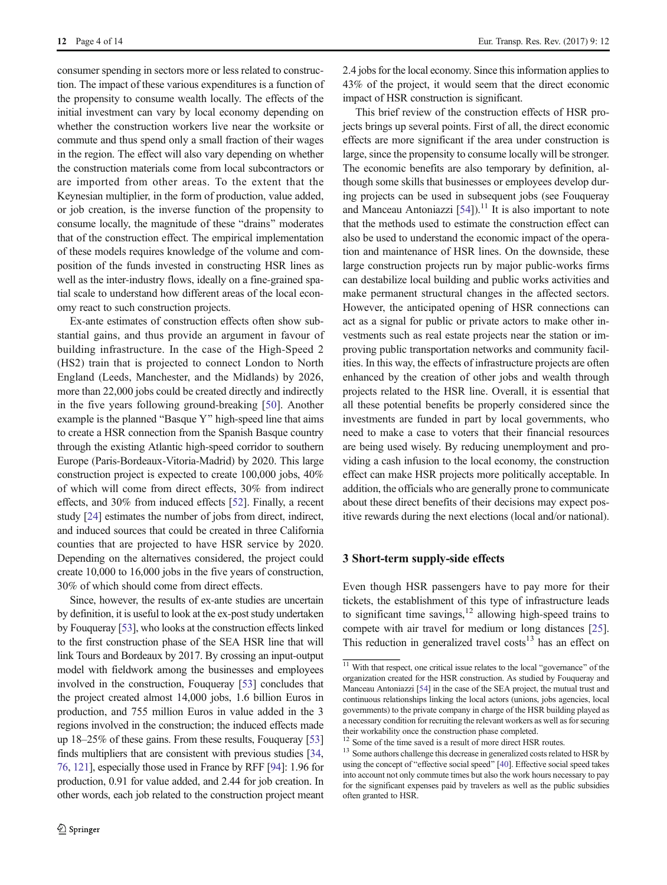consumer spending in sectors more or less related to construction. The impact of these various expenditures is a function of the propensity to consume wealth locally. The effects of the initial investment can vary by local economy depending on whether the construction workers live near the worksite or commute and thus spend only a small fraction of their wages in the region. The effect will also vary depending on whether the construction materials come from local subcontractors or are imported from other areas. To the extent that the Keynesian multiplier, in the form of production, value added, or job creation, is the inverse function of the propensity to consume locally, the magnitude of these "drains" moderates that of the construction effect. The empirical implementation of these models requires knowledge of the volume and composition of the funds invested in constructing HSR lines as well as the inter-industry flows, ideally on a fine-grained spatial scale to understand how different areas of the local economy react to such construction projects.

Ex-ante estimates of construction effects often show substantial gains, and thus provide an argument in favour of building infrastructure. In the case of the High-Speed 2 (HS2) train that is projected to connect London to North England (Leeds, Manchester, and the Midlands) by 2026, more than 22,000 jobs could be created directly and indirectly in the five years following ground-breaking [\[50](#page-11-0)]. Another example is the planned "Basque Y" high-speed line that aims to create a HSR connection from the Spanish Basque country through the existing Atlantic high-speed corridor to southern Europe (Paris-Bordeaux-Vitoria-Madrid) by 2020. This large construction project is expected to create 100,000 jobs, 40% of which will come from direct effects, 30% from indirect effects, and 30% from induced effects [\[52](#page-12-0)]. Finally, a recent study [\[24\]](#page-11-0) estimates the number of jobs from direct, indirect, and induced sources that could be created in three California counties that are projected to have HSR service by 2020. Depending on the alternatives considered, the project could create 10,000 to 16,000 jobs in the five years of construction, 30% of which should come from direct effects.

Since, however, the results of ex-ante studies are uncertain by definition, it is useful to look at the ex-post study undertaken by Fouqueray [[53](#page-12-0)], who looks at the construction effects linked to the first construction phase of the SEA HSR line that will link Tours and Bordeaux by 2017. By crossing an input-output model with fieldwork among the businesses and employees involved in the construction, Fouqueray [\[53\]](#page-12-0) concludes that the project created almost 14,000 jobs, 1.6 billion Euros in production, and 755 million Euros in value added in the 3 regions involved in the construction; the induced effects made up 18–25% of these gains. From these results, Fouqueray [\[53\]](#page-12-0) finds multipliers that are consistent with previous studies [\[34,](#page-11-0) [76,](#page-12-0) [121\]](#page-13-0), especially those used in France by RFF [[94](#page-13-0)]: 1.96 for production, 0.91 for value added, and 2.44 for job creation. In other words, each job related to the construction project meant 2.4 jobs for the local economy. Since this information applies to 43% of the project, it would seem that the direct economic impact of HSR construction is significant.

This brief review of the construction effects of HSR projects brings up several points. First of all, the direct economic effects are more significant if the area under construction is large, since the propensity to consume locally will be stronger. The economic benefits are also temporary by definition, although some skills that businesses or employees develop during projects can be used in subsequent jobs (see Fouqueray and Manceau Antoniazzi  $[54]$  $[54]$  $[54]$ .<sup>11</sup> It is also important to note that the methods used to estimate the construction effect can also be used to understand the economic impact of the operation and maintenance of HSR lines. On the downside, these large construction projects run by major public-works firms can destabilize local building and public works activities and make permanent structural changes in the affected sectors. However, the anticipated opening of HSR connections can act as a signal for public or private actors to make other investments such as real estate projects near the station or improving public transportation networks and community facilities. In this way, the effects of infrastructure projects are often enhanced by the creation of other jobs and wealth through projects related to the HSR line. Overall, it is essential that all these potential benefits be properly considered since the investments are funded in part by local governments, who need to make a case to voters that their financial resources are being used wisely. By reducing unemployment and providing a cash infusion to the local economy, the construction effect can make HSR projects more politically acceptable. In addition, the officials who are generally prone to communicate about these direct benefits of their decisions may expect positive rewards during the next elections (local and/or national).

#### 3 Short-term supply-side effects

Even though HSR passengers have to pay more for their tickets, the establishment of this type of infrastructure leads to significant time savings, $12$  allowing high-speed trains to compete with air travel for medium or long distances [[25\]](#page-11-0). This reduction in generalized travel costs<sup>13</sup> has an effect on

 $\frac{11}{11}$  With that respect, one critical issue relates to the local "governance" of the organization created for the HSR construction. As studied by Fouqueray and Manceau Antoniazzi [\[54](#page-12-0)] in the case of the SEA project, the mutual trust and continuous relationships linking the local actors (unions, jobs agencies, local governments) to the private company in charge of the HSR building played as a necessary condition for recruiting the relevant workers as well as for securing their workability once the construction phase completed.<br><sup>12</sup> Some of the time saved is a result of more direct HSR routes.

 $13$  Some authors challenge this decrease in generalized costs related to HSR by using the concept of "effective social speed" [\[40](#page-11-0)]. Effective social speed takes into account not only commute times but also the work hours necessary to pay for the significant expenses paid by travelers as well as the public subsidies often granted to HSR.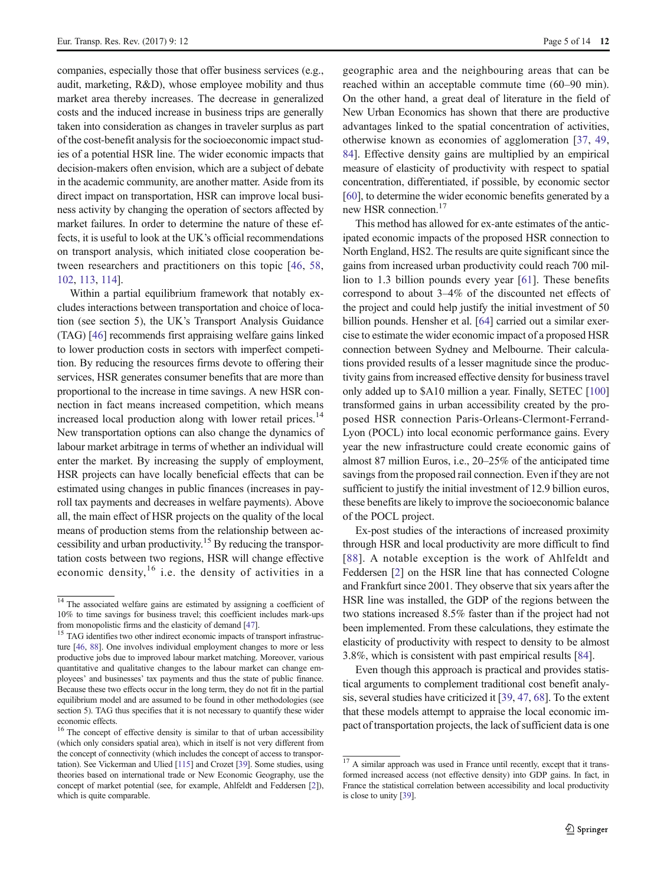companies, especially those that offer business services (e.g., audit, marketing, R&D), whose employee mobility and thus market area thereby increases. The decrease in generalized costs and the induced increase in business trips are generally taken into consideration as changes in traveler surplus as part of the cost-benefit analysis for the socioeconomic impact studies of a potential HSR line. The wider economic impacts that decision-makers often envision, which are a subject of debate in the academic community, are another matter. Aside from its direct impact on transportation, HSR can improve local business activity by changing the operation of sectors affected by market failures. In order to determine the nature of these effects, it is useful to look at the UK's official recommendations on transport analysis, which initiated close cooperation between researchers and practitioners on this topic [[46](#page-11-0), [58,](#page-12-0) [102,](#page-13-0) [113](#page-13-0), [114\]](#page-13-0).

Within a partial equilibrium framework that notably excludes interactions between transportation and choice of location (see section 5), the UK's Transport Analysis Guidance (TAG) [\[46](#page-11-0)] recommends first appraising welfare gains linked to lower production costs in sectors with imperfect competition. By reducing the resources firms devote to offering their services, HSR generates consumer benefits that are more than proportional to the increase in time savings. A new HSR connection in fact means increased competition, which means increased local production along with lower retail prices.<sup>14</sup> New transportation options can also change the dynamics of labour market arbitrage in terms of whether an individual will enter the market. By increasing the supply of employment, HSR projects can have locally beneficial effects that can be estimated using changes in public finances (increases in payroll tax payments and decreases in welfare payments). Above all, the main effect of HSR projects on the quality of the local means of production stems from the relationship between accessibility and urban productivity.<sup>15</sup> By reducing the transportation costs between two regions, HSR will change effective economic density,  $16$  i.e. the density of activities in a

geographic area and the neighbouring areas that can be reached within an acceptable commute time (60–90 min). On the other hand, a great deal of literature in the field of New Urban Economics has shown that there are productive advantages linked to the spatial concentration of activities, otherwise known as economies of agglomeration [\[37](#page-11-0), [49,](#page-11-0) [84](#page-12-0)]. Effective density gains are multiplied by an empirical measure of elasticity of productivity with respect to spatial concentration, differentiated, if possible, by economic sector [\[60](#page-12-0)], to determine the wider economic benefits generated by a new HSR connection.<sup>17</sup>

This method has allowed for ex-ante estimates of the anticipated economic impacts of the proposed HSR connection to North England, HS2. The results are quite significant since the gains from increased urban productivity could reach 700 million to 1.3 billion pounds every year [[61\]](#page-12-0). These benefits correspond to about 3–4% of the discounted net effects of the project and could help justify the initial investment of 50 billion pounds. Hensher et al. [[64](#page-12-0)] carried out a similar exercise to estimate the wider economic impact of a proposed HSR connection between Sydney and Melbourne. Their calculations provided results of a lesser magnitude since the productivity gains from increased effective density for business travel only added up to \$A10 million a year. Finally, SETEC [\[100](#page-13-0)] transformed gains in urban accessibility created by the proposed HSR connection Paris-Orleans-Clermont-Ferrand-Lyon (POCL) into local economic performance gains. Every year the new infrastructure could create economic gains of almost 87 million Euros, i.e., 20–25% of the anticipated time savings from the proposed rail connection. Even if they are not sufficient to justify the initial investment of 12.9 billion euros, these benefits are likely to improve the socioeconomic balance of the POCL project.

Ex-post studies of the interactions of increased proximity through HSR and local productivity are more difficult to find [[88](#page-12-0)]. A notable exception is the work of Ahlfeldt and Feddersen [[2\]](#page-10-0) on the HSR line that has connected Cologne and Frankfurt since 2001. They observe that six years after the HSR line was installed, the GDP of the regions between the two stations increased 8.5% faster than if the project had not been implemented. From these calculations, they estimate the elasticity of productivity with respect to density to be almost 3.8%, which is consistent with past empirical results [\[84\]](#page-12-0).

Even though this approach is practical and provides statistical arguments to complement traditional cost benefit analysis, several studies have criticized it [\[39,](#page-11-0) [47](#page-11-0), [68\]](#page-12-0). To the extent that these models attempt to appraise the local economic impact of transportation projects, the lack of sufficient data is one

 $\frac{14}{14}$  The associated welfare gains are estimated by assigning a coefficient of 10% to time savings for business travel; this coefficient includes mark-ups

from monopolistic firms and the elasticity of demand  $[47]$  $[47]$ .<br><sup>15</sup> TAG identifies two other indirect economic impacts of transport infrastructure [\[46,](#page-11-0) [88](#page-12-0)]. One involves individual employment changes to more or less productive jobs due to improved labour market matching. Moreover, various quantitative and qualitative changes to the labour market can change employees' and businesses' tax payments and thus the state of public finance. Because these two effects occur in the long term, they do not fit in the partial equilibrium model and are assumed to be found in other methodologies (see section 5). TAG thus specifies that it is not necessary to quantify these wider economic effects.

<sup>&</sup>lt;sup>16</sup> The concept of effective density is similar to that of urban accessibility (which only considers spatial area), which in itself is not very different from the concept of connectivity (which includes the concept of access to transportation). See Vickerman and Ulied [[115](#page-13-0)] and Crozet [\[39\]](#page-11-0). Some studies, using theories based on international trade or New Economic Geography, use the concept of market potential (see, for example, Ahlfeldt and Feddersen [\[2](#page-10-0)]), which is quite comparable.

<sup>&</sup>lt;sup>17</sup> A similar approach was used in France until recently, except that it transformed increased access (not effective density) into GDP gains. In fact, in France the statistical correlation between accessibility and local productivity is close to unity [[39](#page-11-0)].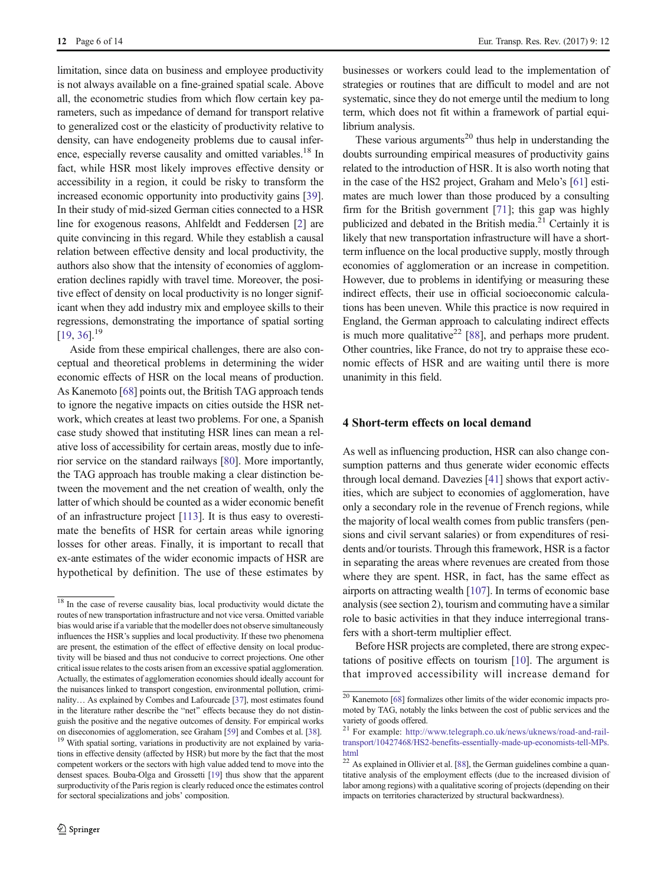limitation, since data on business and employee productivity is not always available on a fine-grained spatial scale. Above all, the econometric studies from which flow certain key parameters, such as impedance of demand for transport relative to generalized cost or the elasticity of productivity relative to density, can have endogeneity problems due to causal inference, especially reverse causality and omitted variables.<sup>18</sup> In fact, while HSR most likely improves effective density or accessibility in a region, it could be risky to transform the increased economic opportunity into productivity gains [[39\]](#page-11-0). In their study of mid-sized German cities connected to a HSR line for exogenous reasons, Ahlfeldt and Feddersen [[2](#page-10-0)] are quite convincing in this regard. While they establish a causal relation between effective density and local productivity, the authors also show that the intensity of economies of agglomeration declines rapidly with travel time. Moreover, the positive effect of density on local productivity is no longer significant when they add industry mix and employee skills to their regressions, demonstrating the importance of spatial sorting  $[19, 36]$  $[19, 36]$  $[19, 36]$ <sup>19</sup>

Aside from these empirical challenges, there are also conceptual and theoretical problems in determining the wider economic effects of HSR on the local means of production. As Kanemoto [[68\]](#page-12-0) points out, the British TAG approach tends to ignore the negative impacts on cities outside the HSR network, which creates at least two problems. For one, a Spanish case study showed that instituting HSR lines can mean a relative loss of accessibility for certain areas, mostly due to inferior service on the standard railways [\[80\]](#page-12-0). More importantly, the TAG approach has trouble making a clear distinction between the movement and the net creation of wealth, only the latter of which should be counted as a wider economic benefit of an infrastructure project [[113](#page-13-0)]. It is thus easy to overestimate the benefits of HSR for certain areas while ignoring losses for other areas. Finally, it is important to recall that ex-ante estimates of the wider economic impacts of HSR are hypothetical by definition. The use of these estimates by

businesses or workers could lead to the implementation of strategies or routines that are difficult to model and are not systematic, since they do not emerge until the medium to long term, which does not fit within a framework of partial equilibrium analysis.

These various arguments<sup>20</sup> thus help in understanding the doubts surrounding empirical measures of productivity gains related to the introduction of HSR. It is also worth noting that in the case of the HS2 project, Graham and Melo's [\[61\]](#page-12-0) estimates are much lower than those produced by a consulting firm for the British government [\[71](#page-12-0)]; this gap was highly publicized and debated in the British media. $2<sup>1</sup>$  Certainly it is likely that new transportation infrastructure will have a shortterm influence on the local productive supply, mostly through economies of agglomeration or an increase in competition. However, due to problems in identifying or measuring these indirect effects, their use in official socioeconomic calculations has been uneven. While this practice is now required in England, the German approach to calculating indirect effects is much more qualitative<sup>22</sup> [[88\]](#page-12-0), and perhaps more prudent. Other countries, like France, do not try to appraise these economic effects of HSR and are waiting until there is more unanimity in this field.

### 4 Short-term effects on local demand

As well as influencing production, HSR can also change consumption patterns and thus generate wider economic effects through local demand. Davezies [\[41](#page-11-0)] shows that export activities, which are subject to economies of agglomeration, have only a secondary role in the revenue of French regions, while the majority of local wealth comes from public transfers (pensions and civil servant salaries) or from expenditures of residents and/or tourists. Through this framework, HSR is a factor in separating the areas where revenues are created from those where they are spent. HSR, in fact, has the same effect as airports on attracting wealth [[107](#page-13-0)]. In terms of economic base analysis (see section 2), tourism and commuting have a similar role to basic activities in that they induce interregional transfers with a short-term multiplier effect.

Before HSR projects are completed, there are strong expectations of positive effects on tourism [[10\]](#page-10-0). The argument is that improved accessibility will increase demand for

 $\frac{18}{18}$  In the case of reverse causality bias, local productivity would dictate the routes of new transportation infrastructure and not vice versa. Omitted variable bias would arise if a variable that the modeller does not observe simultaneously influences the HSR's supplies and local productivity. If these two phenomena are present, the estimation of the effect of effective density on local productivity will be biased and thus not conducive to correct projections. One other critical issue relates to the costs arisen from an excessive spatial agglomeration. Actually, the estimates of agglomeration economies should ideally account for the nuisances linked to transport congestion, environmental pollution, criminality… As explained by Combes and Lafourcade [[37\]](#page-11-0), most estimates found in the literature rather describe the "net" effects because they do not distinguish the positive and the negative outcomes of density. For empirical works on diseconomies of agglomeration, see Graham [[59](#page-12-0)] and Combes et al. [\[38](#page-11-0)]. <sup>19</sup> With spatial sorting, variations in productivity are not explained by varia-

tions in effective density (affected by HSR) but more by the fact that the most competent workers or the sectors with high value added tend to move into the densest spaces. Bouba-Olga and Grossetti [\[19](#page-11-0)] thus show that the apparent surproductivity of the Paris region is clearly reduced once the estimates control for sectoral specializations and jobs' composition.

<sup>20</sup> Kanemoto [\[68\]](#page-12-0) formalizes other limits of the wider economic impacts promoted by TAG, notably the links between the cost of public services and the variety of goods offered.

<sup>21</sup> For example: [http://www.telegraph.co.uk/news/uknews/road-and-rail](http://www.telegraph.co.uk/news/uknews/road-and-rail-transport/10427468/HS2-benefits-essentially-made-up-economists-tell-MPs.html)[transport/10427468/HS2-benefits-essentially-made-up-economists-tell-MPs.](http://www.telegraph.co.uk/news/uknews/road-and-rail-transport/10427468/HS2-benefits-essentially-made-up-economists-tell-MPs.html) [html](http://www.telegraph.co.uk/news/uknews/road-and-rail-transport/10427468/HS2-benefits-essentially-made-up-economists-tell-MPs.html)

 $22$  As explained in Ollivier et al. [\[88](#page-12-0)], the German guidelines combine a quantitative analysis of the employment effects (due to the increased division of labor among regions) with a qualitative scoring of projects (depending on their impacts on territories characterized by structural backwardness).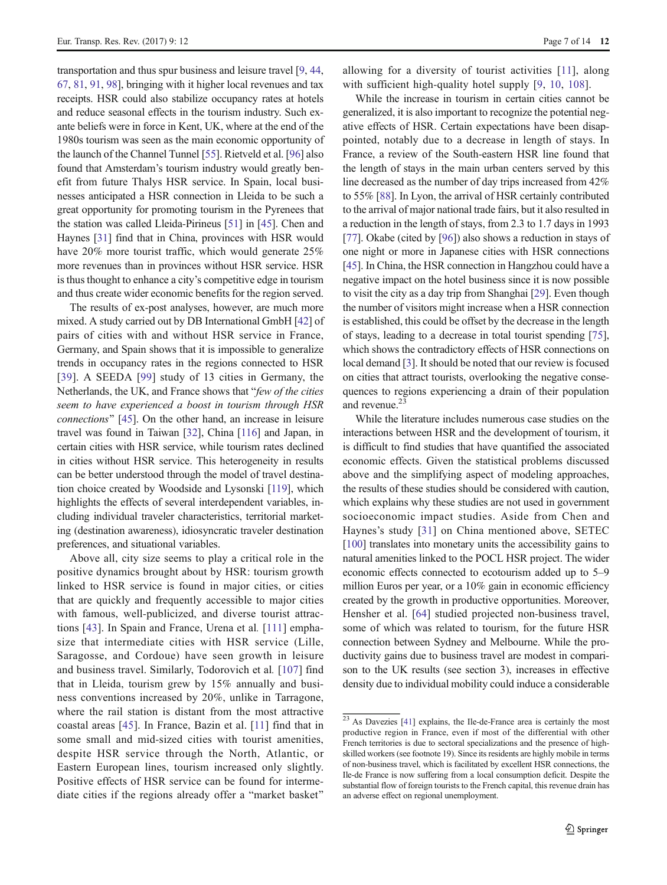transportation and thus spur business and leisure travel [\[9](#page-10-0), [44,](#page-11-0) [67,](#page-12-0) [81,](#page-12-0) [91](#page-12-0), [98\]](#page-13-0), bringing with it higher local revenues and tax receipts. HSR could also stabilize occupancy rates at hotels and reduce seasonal effects in the tourism industry. Such exante beliefs were in force in Kent, UK, where at the end of the 1980s tourism was seen as the main economic opportunity of the launch of the Channel Tunnel [\[55\]](#page-12-0). Rietveld et al. [[96](#page-13-0)] also found that Amsterdam's tourism industry would greatly benefit from future Thalys HSR service. In Spain, local businesses anticipated a HSR connection in Lleida to be such a great opportunity for promoting tourism in the Pyrenees that the station was called Lleida-Pirineus [[51](#page-12-0)] in [\[45\]](#page-11-0). Chen and Haynes [[31\]](#page-11-0) find that in China, provinces with HSR would have 20% more tourist traffic, which would generate 25% more revenues than in provinces without HSR service. HSR is thus thought to enhance a city's competitive edge in tourism and thus create wider economic benefits for the region served.

The results of ex-post analyses, however, are much more mixed. A study carried out by DB International GmbH [\[42\]](#page-11-0) of pairs of cities with and without HSR service in France, Germany, and Spain shows that it is impossible to generalize trends in occupancy rates in the regions connected to HSR [\[39\]](#page-11-0). A SEEDA [[99\]](#page-13-0) study of 13 cities in Germany, the Netherlands, the UK, and France shows that "few of the cities" seem to have experienced a boost in tourism through HSR connections" [[45](#page-11-0)]. On the other hand, an increase in leisure travel was found in Taiwan [[32\]](#page-11-0), China [\[116\]](#page-13-0) and Japan, in certain cities with HSR service, while tourism rates declined in cities without HSR service. This heterogeneity in results can be better understood through the model of travel destination choice created by Woodside and Lysonski [\[119\]](#page-13-0), which highlights the effects of several interdependent variables, including individual traveler characteristics, territorial marketing (destination awareness), idiosyncratic traveler destination preferences, and situational variables.

Above all, city size seems to play a critical role in the positive dynamics brought about by HSR: tourism growth linked to HSR service is found in major cities, or cities that are quickly and frequently accessible to major cities with famous, well-publicized, and diverse tourist attractions [[43](#page-11-0)]. In Spain and France, Urena et al. [[111\]](#page-13-0) emphasize that intermediate cities with HSR service (Lille, Saragosse, and Cordoue) have seen growth in leisure and business travel. Similarly, Todorovich et al. [[107\]](#page-13-0) find that in Lleida, tourism grew by 15% annually and business conventions increased by 20%, unlike in Tarragone, where the rail station is distant from the most attractive coastal areas [\[45\]](#page-11-0). In France, Bazin et al. [\[11\]](#page-11-0) find that in some small and mid-sized cities with tourist amenities, despite HSR service through the North, Atlantic, or Eastern European lines, tourism increased only slightly. Positive effects of HSR service can be found for intermediate cities if the regions already offer a "market basket"

allowing for a diversity of tourist activities [[11](#page-11-0)], along with sufficient high-quality hotel supply [[9,](#page-10-0) [10](#page-10-0), [108](#page-13-0)].

While the increase in tourism in certain cities cannot be generalized, it is also important to recognize the potential negative effects of HSR. Certain expectations have been disappointed, notably due to a decrease in length of stays. In France, a review of the South-eastern HSR line found that the length of stays in the main urban centers served by this line decreased as the number of day trips increased from 42% to 55% [\[88\]](#page-12-0). In Lyon, the arrival of HSR certainly contributed to the arrival of major national trade fairs, but it also resulted in a reduction in the length of stays, from 2.3 to 1.7 days in 1993 [\[77](#page-12-0)]. Okabe (cited by [[96\]](#page-13-0)) also shows a reduction in stays of one night or more in Japanese cities with HSR connections [\[45](#page-11-0)]. In China, the HSR connection in Hangzhou could have a negative impact on the hotel business since it is now possible to visit the city as a day trip from Shanghai [\[29\]](#page-11-0). Even though the number of visitors might increase when a HSR connection is established, this could be offset by the decrease in the length of stays, leading to a decrease in total tourist spending [[75\]](#page-12-0), which shows the contradictory effects of HSR connections on local demand [[3\]](#page-10-0). It should be noted that our review is focused on cities that attract tourists, overlooking the negative consequences to regions experiencing a drain of their population and revenue.<sup>23</sup>

While the literature includes numerous case studies on the interactions between HSR and the development of tourism, it is difficult to find studies that have quantified the associated economic effects. Given the statistical problems discussed above and the simplifying aspect of modeling approaches, the results of these studies should be considered with caution, which explains why these studies are not used in government socioeconomic impact studies. Aside from Chen and Haynes's study [\[31\]](#page-11-0) on China mentioned above, SETEC [\[100\]](#page-13-0) translates into monetary units the accessibility gains to natural amenities linked to the POCL HSR project. The wider economic effects connected to ecotourism added up to 5–9 million Euros per year, or a 10% gain in economic efficiency created by the growth in productive opportunities. Moreover, Hensher et al. [\[64](#page-12-0)] studied projected non-business travel, some of which was related to tourism, for the future HSR connection between Sydney and Melbourne. While the productivity gains due to business travel are modest in comparison to the UK results (see section 3), increases in effective density due to individual mobility could induce a considerable

 $\frac{23}{23}$  As Davezies [[41\]](#page-11-0) explains, the Ile-de-France area is certainly the most productive region in France, even if most of the differential with other French territories is due to sectoral specializations and the presence of highskilled workers (see footnote 19). Since its residents are highly mobile in terms of non-business travel, which is facilitated by excellent HSR connections, the Ile-de France is now suffering from a local consumption deficit. Despite the substantial flow of foreign tourists to the French capital, this revenue drain has an adverse effect on regional unemployment.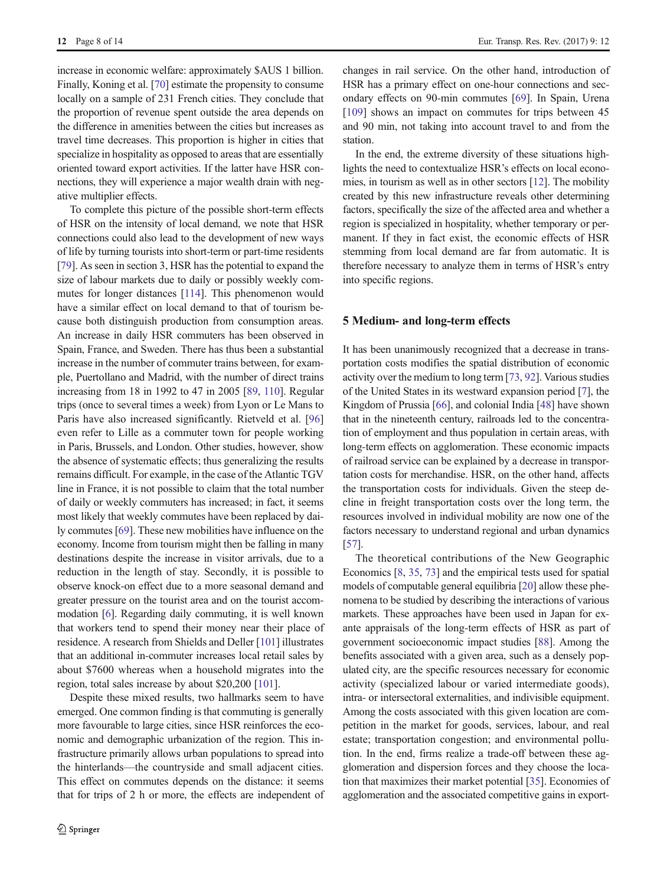increase in economic welfare: approximately \$AUS 1 billion. Finally, Koning et al. [[70\]](#page-12-0) estimate the propensity to consume locally on a sample of 231 French cities. They conclude that the proportion of revenue spent outside the area depends on the difference in amenities between the cities but increases as travel time decreases. This proportion is higher in cities that specialize in hospitality as opposed to areas that are essentially oriented toward export activities. If the latter have HSR connections, they will experience a major wealth drain with negative multiplier effects.

To complete this picture of the possible short-term effects of HSR on the intensity of local demand, we note that HSR connections could also lead to the development of new ways of life by turning tourists into short-term or part-time residents [\[79\]](#page-12-0). As seen in section 3, HSR has the potential to expand the size of labour markets due to daily or possibly weekly commutes for longer distances [[114](#page-13-0)]. This phenomenon would have a similar effect on local demand to that of tourism because both distinguish production from consumption areas. An increase in daily HSR commuters has been observed in Spain, France, and Sweden. There has thus been a substantial increase in the number of commuter trains between, for example, Puertollano and Madrid, with the number of direct trains increasing from 18 in 1992 to 47 in 2005 [\[89](#page-12-0), [110\]](#page-13-0). Regular trips (once to several times a week) from Lyon or Le Mans to Paris have also increased significantly. Rietveld et al. [[96\]](#page-13-0) even refer to Lille as a commuter town for people working in Paris, Brussels, and London. Other studies, however, show the absence of systematic effects; thus generalizing the results remains difficult. For example, in the case of the Atlantic TGV line in France, it is not possible to claim that the total number of daily or weekly commuters has increased; in fact, it seems most likely that weekly commutes have been replaced by daily commutes [[69](#page-12-0)]. These new mobilities have influence on the economy. Income from tourism might then be falling in many destinations despite the increase in visitor arrivals, due to a reduction in the length of stay. Secondly, it is possible to observe knock-on effect due to a more seasonal demand and greater pressure on the tourist area and on the tourist accommodation [\[6](#page-10-0)]. Regarding daily commuting, it is well known that workers tend to spend their money near their place of residence. A research from Shields and Deller [\[101\]](#page-13-0) illustrates that an additional in-commuter increases local retail sales by about \$7600 whereas when a household migrates into the region, total sales increase by about \$20,200 [\[101\]](#page-13-0).

Despite these mixed results, two hallmarks seem to have emerged. One common finding is that commuting is generally more favourable to large cities, since HSR reinforces the economic and demographic urbanization of the region. This infrastructure primarily allows urban populations to spread into the hinterlands—the countryside and small adjacent cities. This effect on commutes depends on the distance: it seems that for trips of 2 h or more, the effects are independent of changes in rail service. On the other hand, introduction of HSR has a primary effect on one-hour connections and secondary effects on 90-min commutes [\[69](#page-12-0)]. In Spain, Urena [\[109](#page-13-0)] shows an impact on commutes for trips between 45 and 90 min, not taking into account travel to and from the station.

In the end, the extreme diversity of these situations highlights the need to contextualize HSR's effects on local economies, in tourism as well as in other sectors [\[12\]](#page-11-0). The mobility created by this new infrastructure reveals other determining factors, specifically the size of the affected area and whether a region is specialized in hospitality, whether temporary or permanent. If they in fact exist, the economic effects of HSR stemming from local demand are far from automatic. It is therefore necessary to analyze them in terms of HSR's entry into specific regions.

#### 5 Medium- and long-term effects

It has been unanimously recognized that a decrease in transportation costs modifies the spatial distribution of economic activity over the medium to long term [[73](#page-12-0), [92](#page-12-0)]. Various studies of the United States in its westward expansion period [\[7](#page-10-0)], the Kingdom of Prussia [\[66](#page-12-0)], and colonial India [[48](#page-11-0)] have shown that in the nineteenth century, railroads led to the concentration of employment and thus population in certain areas, with long-term effects on agglomeration. These economic impacts of railroad service can be explained by a decrease in transportation costs for merchandise. HSR, on the other hand, affects the transportation costs for individuals. Given the steep decline in freight transportation costs over the long term, the resources involved in individual mobility are now one of the factors necessary to understand regional and urban dynamics [\[57](#page-12-0)].

The theoretical contributions of the New Geographic Economics [\[8,](#page-10-0) [35,](#page-11-0) [73\]](#page-12-0) and the empirical tests used for spatial models of computable general equilibria [\[20](#page-11-0)] allow these phenomena to be studied by describing the interactions of various markets. These approaches have been used in Japan for exante appraisals of the long-term effects of HSR as part of government socioeconomic impact studies [[88\]](#page-12-0). Among the benefits associated with a given area, such as a densely populated city, are the specific resources necessary for economic activity (specialized labour or varied intermediate goods), intra- or intersectoral externalities, and indivisible equipment. Among the costs associated with this given location are competition in the market for goods, services, labour, and real estate; transportation congestion; and environmental pollution. In the end, firms realize a trade-off between these agglomeration and dispersion forces and they choose the location that maximizes their market potential [[35\]](#page-11-0). Economies of agglomeration and the associated competitive gains in export-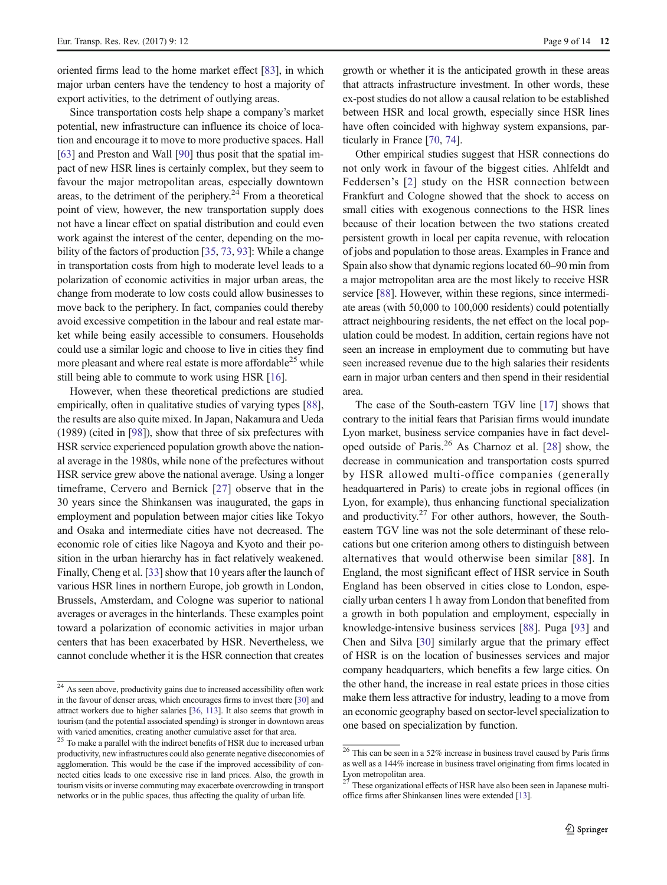oriented firms lead to the home market effect [\[83\]](#page-12-0), in which major urban centers have the tendency to host a majority of export activities, to the detriment of outlying areas.

Since transportation costs help shape a company's market potential, new infrastructure can influence its choice of location and encourage it to move to more productive spaces. Hall [\[63\]](#page-12-0) and Preston and Wall [[90](#page-12-0)] thus posit that the spatial impact of new HSR lines is certainly complex, but they seem to favour the major metropolitan areas, especially downtown areas, to the detriment of the periphery. $2<sup>4</sup>$  From a theoretical point of view, however, the new transportation supply does not have a linear effect on spatial distribution and could even work against the interest of the center, depending on the mobility of the factors of production [\[35,](#page-11-0) [73](#page-12-0), [93](#page-12-0)]: While a change in transportation costs from high to moderate level leads to a polarization of economic activities in major urban areas, the change from moderate to low costs could allow businesses to move back to the periphery. In fact, companies could thereby avoid excessive competition in the labour and real estate market while being easily accessible to consumers. Households could use a similar logic and choose to live in cities they find more pleasant and where real estate is more affordable<sup>25</sup> while still being able to commute to work using HSR [\[16](#page-11-0)].

However, when these theoretical predictions are studied empirically, often in qualitative studies of varying types [[88\]](#page-12-0), the results are also quite mixed. In Japan, Nakamura and Ueda (1989) (cited in [[98\]](#page-13-0)), show that three of six prefectures with HSR service experienced population growth above the national average in the 1980s, while none of the prefectures without HSR service grew above the national average. Using a longer timeframe, Cervero and Bernick [[27](#page-11-0)] observe that in the 30 years since the Shinkansen was inaugurated, the gaps in employment and population between major cities like Tokyo and Osaka and intermediate cities have not decreased. The economic role of cities like Nagoya and Kyoto and their position in the urban hierarchy has in fact relatively weakened. Finally, Cheng et al. [[33](#page-11-0)] show that 10 years after the launch of various HSR lines in northern Europe, job growth in London, Brussels, Amsterdam, and Cologne was superior to national averages or averages in the hinterlands. These examples point toward a polarization of economic activities in major urban centers that has been exacerbated by HSR. Nevertheless, we cannot conclude whether it is the HSR connection that creates

growth or whether it is the anticipated growth in these areas that attracts infrastructure investment. In other words, these ex-post studies do not allow a causal relation to be established between HSR and local growth, especially since HSR lines have often coincided with highway system expansions, particularly in France [[70,](#page-12-0) [74\]](#page-12-0).

Other empirical studies suggest that HSR connections do not only work in favour of the biggest cities. Ahlfeldt and Feddersen's [[2](#page-10-0)] study on the HSR connection between Frankfurt and Cologne showed that the shock to access on small cities with exogenous connections to the HSR lines because of their location between the two stations created persistent growth in local per capita revenue, with relocation of jobs and population to those areas. Examples in France and Spain also show that dynamic regions located 60–90 min from a major metropolitan area are the most likely to receive HSR service [\[88](#page-12-0)]. However, within these regions, since intermediate areas (with 50,000 to 100,000 residents) could potentially attract neighbouring residents, the net effect on the local population could be modest. In addition, certain regions have not seen an increase in employment due to commuting but have seen increased revenue due to the high salaries their residents earn in major urban centers and then spend in their residential area.

The case of the South-eastern TGV line [\[17\]](#page-11-0) shows that contrary to the initial fears that Parisian firms would inundate Lyon market, business service companies have in fact developed outside of Paris.<sup>26</sup> As Charnoz et al. [\[28](#page-11-0)] show, the decrease in communication and transportation costs spurred by HSR allowed multi-office companies (generally headquartered in Paris) to create jobs in regional offices (in Lyon, for example), thus enhancing functional specialization and productivity. $27$  For other authors, however, the Southeastern TGV line was not the sole determinant of these relocations but one criterion among others to distinguish between alternatives that would otherwise been similar [[88](#page-12-0)]. In England, the most significant effect of HSR service in South England has been observed in cities close to London, especially urban centers 1 h away from London that benefited from a growth in both population and employment, especially in knowledge-intensive business services [\[88](#page-12-0)]. Puga [\[93](#page-12-0)] and Chen and Silva [\[30\]](#page-11-0) similarly argue that the primary effect of HSR is on the location of businesses services and major company headquarters, which benefits a few large cities. On the other hand, the increase in real estate prices in those cities make them less attractive for industry, leading to a move from an economic geography based on sector-level specialization to one based on specialization by function.

<sup>24</sup> As seen above, productivity gains due to increased accessibility often work in the favour of denser areas, which encourages firms to invest there [[30](#page-11-0)] and attract workers due to higher salaries [\[36](#page-11-0), [113\]](#page-13-0). It also seems that growth in tourism (and the potential associated spending) is stronger in downtown areas with varied amenities, creating another cumulative asset for that area.

<sup>25</sup> To make a parallel with the indirect benefits of HSR due to increased urban productivity, new infrastructures could also generate negative diseconomies of agglomeration. This would be the case if the improved accessibility of connected cities leads to one excessive rise in land prices. Also, the growth in tourism visits or inverse commuting may exacerbate overcrowding in transport networks or in the public spaces, thus affecting the quality of urban life.

 $\frac{26}{26}$  This can be seen in a 52% increase in business travel caused by Paris firms as well as a 144% increase in business travel originating from firms located in Lyon metropolitan area.

<sup>&</sup>lt;sup>27</sup> These organizational effects of HSR have also been seen in Japanese multioffice firms after Shinkansen lines were extended [\[13\]](#page-11-0).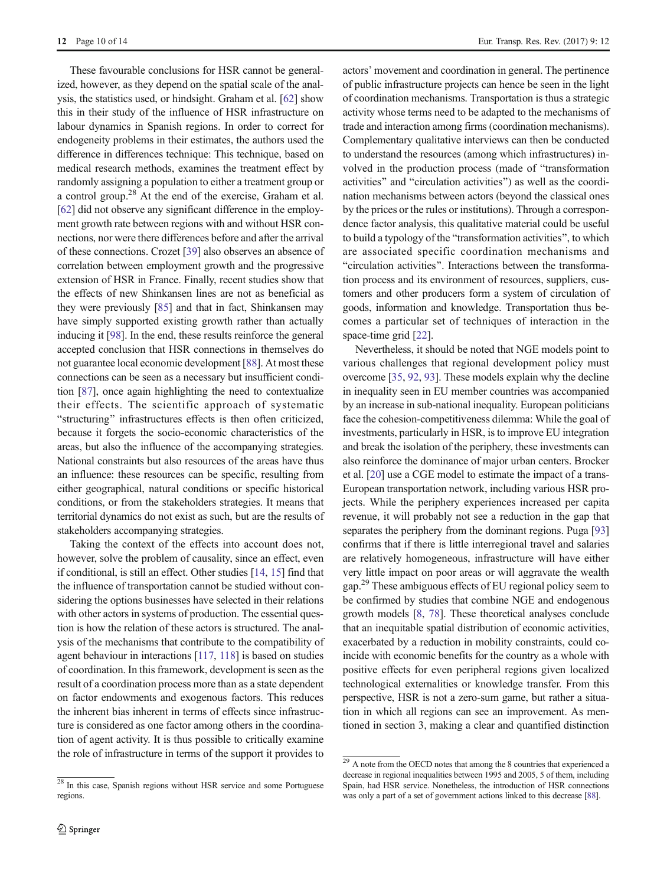These favourable conclusions for HSR cannot be generalized, however, as they depend on the spatial scale of the analysis, the statistics used, or hindsight. Graham et al. [\[62\]](#page-12-0) show this in their study of the influence of HSR infrastructure on labour dynamics in Spanish regions. In order to correct for endogeneity problems in their estimates, the authors used the difference in differences technique: This technique, based on medical research methods, examines the treatment effect by randomly assigning a population to either a treatment group or a control group.<sup>28</sup> At the end of the exercise, Graham et al. [\[62\]](#page-12-0) did not observe any significant difference in the employment growth rate between regions with and without HSR connections, nor were there differences before and after the arrival of these connections. Crozet [\[39](#page-11-0)] also observes an absence of correlation between employment growth and the progressive extension of HSR in France. Finally, recent studies show that the effects of new Shinkansen lines are not as beneficial as they were previously [[85\]](#page-12-0) and that in fact, Shinkansen may have simply supported existing growth rather than actually inducing it [\[98](#page-13-0)]. In the end, these results reinforce the general accepted conclusion that HSR connections in themselves do not guarantee local economic development [[88\]](#page-12-0). At most these connections can be seen as a necessary but insufficient condition [[87\]](#page-12-0), once again highlighting the need to contextualize their effects. The scientific approach of systematic "structuring" infrastructures effects is then often criticized, because it forgets the socio-economic characteristics of the areas, but also the influence of the accompanying strategies. National constraints but also resources of the areas have thus an influence: these resources can be specific, resulting from either geographical, natural conditions or specific historical conditions, or from the stakeholders strategies. It means that territorial dynamics do not exist as such, but are the results of stakeholders accompanying strategies.

Taking the context of the effects into account does not, however, solve the problem of causality, since an effect, even if conditional, is still an effect. Other studies [\[14,](#page-11-0) [15](#page-11-0)] find that the influence of transportation cannot be studied without considering the options businesses have selected in their relations with other actors in systems of production. The essential question is how the relation of these actors is structured. The analysis of the mechanisms that contribute to the compatibility of agent behaviour in interactions [[117,](#page-13-0) [118](#page-13-0)] is based on studies of coordination. In this framework, development is seen as the result of a coordination process more than as a state dependent on factor endowments and exogenous factors. This reduces the inherent bias inherent in terms of effects since infrastructure is considered as one factor among others in the coordination of agent activity. It is thus possible to critically examine the role of infrastructure in terms of the support it provides to actors' movement and coordination in general. The pertinence of public infrastructure projects can hence be seen in the light of coordination mechanisms. Transportation is thus a strategic activity whose terms need to be adapted to the mechanisms of trade and interaction among firms (coordination mechanisms). Complementary qualitative interviews can then be conducted to understand the resources (among which infrastructures) involved in the production process (made of "transformation") activities" and "circulation activities") as well as the coordination mechanisms between actors (beyond the classical ones by the prices or the rules or institutions). Through a correspondence factor analysis, this qualitative material could be useful to build a typology of the "transformation activities", to which are associated specific coordination mechanisms and "circulation activities". Interactions between the transformation process and its environment of resources, suppliers, customers and other producers form a system of circulation of goods, information and knowledge. Transportation thus becomes a particular set of techniques of interaction in the space-time grid [[22\]](#page-11-0).

Nevertheless, it should be noted that NGE models point to various challenges that regional development policy must overcome [[35,](#page-11-0) [92](#page-12-0), [93\]](#page-12-0). These models explain why the decline in inequality seen in EU member countries was accompanied by an increase in sub-national inequality. European politicians face the cohesion-competitiveness dilemma: While the goal of investments, particularly in HSR, is to improve EU integration and break the isolation of the periphery, these investments can also reinforce the dominance of major urban centers. Brocker et al. [[20](#page-11-0)] use a CGE model to estimate the impact of a trans-European transportation network, including various HSR projects. While the periphery experiences increased per capita revenue, it will probably not see a reduction in the gap that separates the periphery from the dominant regions. Puga [\[93](#page-12-0)] confirms that if there is little interregional travel and salaries are relatively homogeneous, infrastructure will have either very little impact on poor areas or will aggravate the wealth gap.<sup>29</sup> These ambiguous effects of EU regional policy seem to be confirmed by studies that combine NGE and endogenous growth models [\[8,](#page-10-0) [78\]](#page-12-0). These theoretical analyses conclude that an inequitable spatial distribution of economic activities, exacerbated by a reduction in mobility constraints, could coincide with economic benefits for the country as a whole with positive effects for even peripheral regions given localized technological externalities or knowledge transfer. From this perspective, HSR is not a zero-sum game, but rather a situation in which all regions can see an improvement. As mentioned in section 3, making a clear and quantified distinction

 $28$  In this case, Spanish regions without HSR service and some Portuguese regions.

 $29$  A note from the OECD notes that among the 8 countries that experienced a decrease in regional inequalities between 1995 and 2005, 5 of them, including Spain, had HSR service. Nonetheless, the introduction of HSR connections was only a part of a set of government actions linked to this decrease [\[88](#page-12-0)].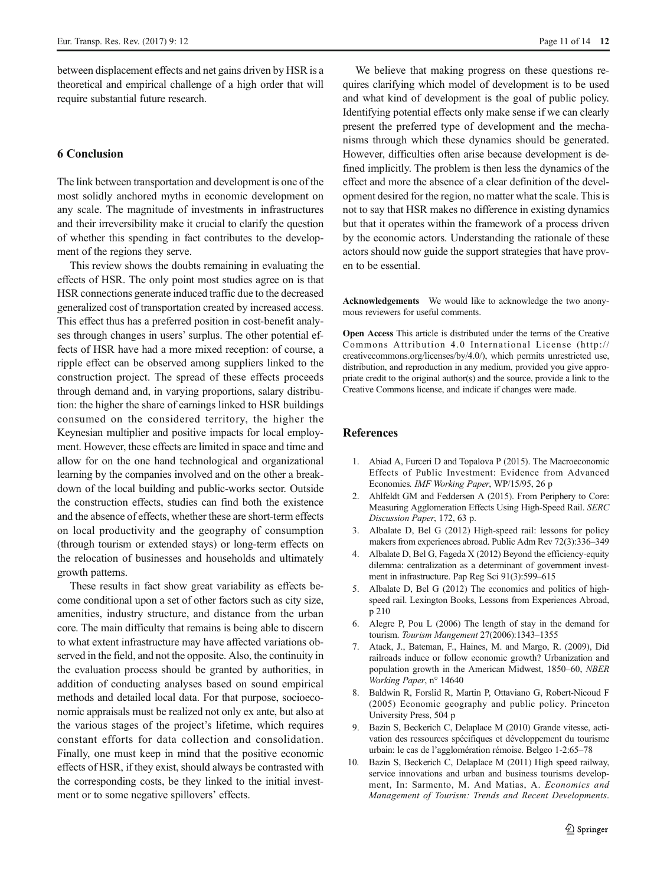<span id="page-10-0"></span>between displacement effects and net gains driven by HSR is a theoretical and empirical challenge of a high order that will require substantial future research.

# 6 Conclusion

The link between transportation and development is one of the most solidly anchored myths in economic development on any scale. The magnitude of investments in infrastructures and their irreversibility make it crucial to clarify the question of whether this spending in fact contributes to the development of the regions they serve.

This review shows the doubts remaining in evaluating the effects of HSR. The only point most studies agree on is that HSR connections generate induced traffic due to the decreased generalized cost of transportation created by increased access. This effect thus has a preferred position in cost-benefit analyses through changes in users' surplus. The other potential effects of HSR have had a more mixed reception: of course, a ripple effect can be observed among suppliers linked to the construction project. The spread of these effects proceeds through demand and, in varying proportions, salary distribution: the higher the share of earnings linked to HSR buildings consumed on the considered territory, the higher the Keynesian multiplier and positive impacts for local employment. However, these effects are limited in space and time and allow for on the one hand technological and organizational learning by the companies involved and on the other a breakdown of the local building and public-works sector. Outside the construction effects, studies can find both the existence and the absence of effects, whether these are short-term effects on local productivity and the geography of consumption (through tourism or extended stays) or long-term effects on the relocation of businesses and households and ultimately growth patterns.

These results in fact show great variability as effects become conditional upon a set of other factors such as city size, amenities, industry structure, and distance from the urban core. The main difficulty that remains is being able to discern to what extent infrastructure may have affected variations observed in the field, and not the opposite. Also, the continuity in the evaluation process should be granted by authorities, in addition of conducting analyses based on sound empirical methods and detailed local data. For that purpose, socioeconomic appraisals must be realized not only ex ante, but also at the various stages of the project's lifetime, which requires constant efforts for data collection and consolidation. Finally, one must keep in mind that the positive economic effects of HSR, if they exist, should always be contrasted with the corresponding costs, be they linked to the initial investment or to some negative spillovers' effects.

We believe that making progress on these questions requires clarifying which model of development is to be used and what kind of development is the goal of public policy. Identifying potential effects only make sense if we can clearly present the preferred type of development and the mechanisms through which these dynamics should be generated. However, difficulties often arise because development is defined implicitly. The problem is then less the dynamics of the effect and more the absence of a clear definition of the development desired for the region, no matter what the scale. This is not to say that HSR makes no difference in existing dynamics but that it operates within the framework of a process driven by the economic actors. Understanding the rationale of these actors should now guide the support strategies that have proven to be essential.

Acknowledgements We would like to acknowledge the two anonymous reviewers for useful comments.

Open Access This article is distributed under the terms of the Creative Commons Attribution 4.0 International License (http:// creativecommons.org/licenses/by/4.0/), which permits unrestricted use, distribution, and reproduction in any medium, provided you give appropriate credit to the original author(s) and the source, provide a link to the Creative Commons license, and indicate if changes were made.

#### References

- 1. Abiad A, Furceri D and Topalova P (2015). The Macroeconomic Effects of Public Investment: Evidence from Advanced Economies. IMF Working Paper, WP/15/95, 26 p
- 2. Ahlfeldt GM and Feddersen A (2015). From Periphery to Core: Measuring Agglomeration Effects Using High-Speed Rail. SERC Discussion Paper, 172, 63 p.
- 3. Albalate D, Bel G (2012) High-speed rail: lessons for policy makers from experiences abroad. Public Adm Rev 72(3):336–349
- 4. Albalate D, Bel G, Fageda X (2012) Beyond the efficiency-equity dilemma: centralization as a determinant of government investment in infrastructure. Pap Reg Sci 91(3):599–615
- 5. Albalate D, Bel G (2012) The economics and politics of highspeed rail. Lexington Books, Lessons from Experiences Abroad, p 210
- 6. Alegre P, Pou L (2006) The length of stay in the demand for tourism. Tourism Mangement 27(2006):1343–1355
- 7. Atack, J., Bateman, F., Haines, M. and Margo, R. (2009), Did railroads induce or follow economic growth? Urbanization and population growth in the American Midwest, 1850–60, NBER Working Paper, n° 14640
- 8. Baldwin R, Forslid R, Martin P, Ottaviano G, Robert-Nicoud F (2005) Economic geography and public policy. Princeton University Press, 504 p
- 9. Bazin S, Beckerich C, Delaplace M (2010) Grande vitesse, activation des ressources spécifiques et développement du tourisme urbain: le cas de l'agglomération rémoise. Belgeo 1-2:65–78
- 10. Bazin S, Beckerich C, Delaplace M (2011) High speed railway, service innovations and urban and business tourisms development, In: Sarmento, M. And Matias, A. Economics and Management of Tourism: Trends and Recent Developments.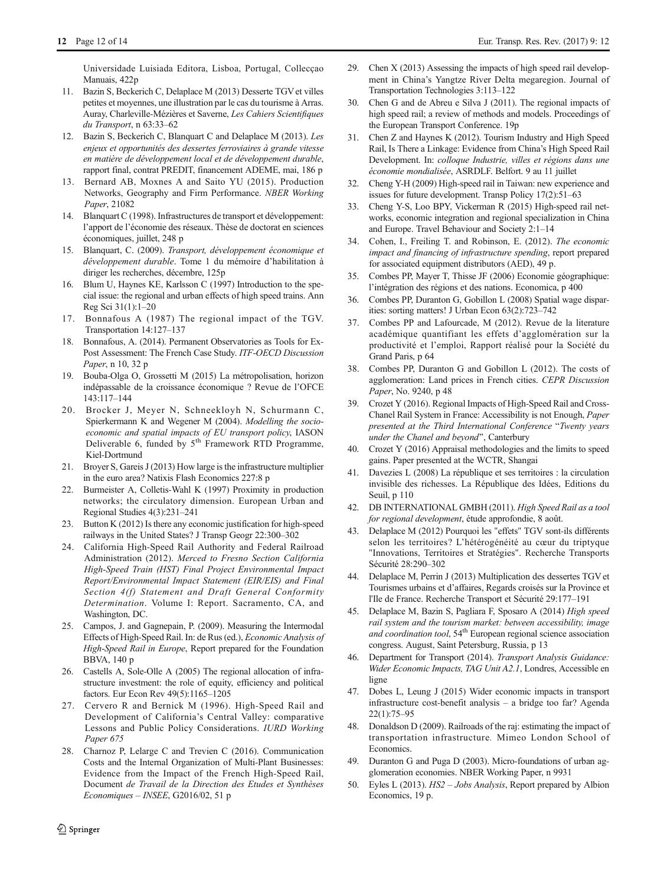<span id="page-11-0"></span>Universidade Luisiada Editora, Lisboa, Portugal, Collecçao Manuais, 422p

- 11. Bazin S, Beckerich C, Delaplace M (2013) Desserte TGV et villes petites et moyennes, une illustration par le cas du tourisme à Arras. Auray, Charleville-Mézières et Saverne, Les Cahiers Scientifiques du Transport, n 63:33–62
- 12. Bazin S, Beckerich C, Blanquart C and Delaplace M (2013). Les enjeux et opportunités des dessertes ferroviaires à grande vitesse en matière de développement local et de développement durable, rapport final, contrat PREDIT, financement ADEME, mai, 186 p
- 13. Bernard AB, Moxnes A and Saito YU (2015). Production Networks, Geography and Firm Performance. NBER Working Paper, 21082
- 14. Blanquart C (1998). Infrastructures de transport et développement: l'apport de l'économie des réseaux. Thèse de doctorat en sciences économiques, juillet, 248 p
- 15. Blanquart, C. (2009). Transport, développement économique et développement durable. Tome 1 du mémoire d'habilitation à diriger les recherches, décembre, 125p
- 16. Blum U, Haynes KE, Karlsson C (1997) Introduction to the special issue: the regional and urban effects of high speed trains. Ann Reg Sci 31(1):1–20
- 17. Bonnafous A (1987) The regional impact of the TGV. Transportation 14:127–137
- 18. Bonnafous, A. (2014). Permanent Observatories as Tools for Ex-Post Assessment: The French Case Study. ITF-OECD Discussion Paper, n 10, 32 p
- 19. Bouba-Olga O, Grossetti M (2015) La métropolisation, horizon indépassable de la croissance économique ? Revue de l'OFCE 143:117–144
- 20. Brocker J, Meyer N, Schneekloyh N, Schurmann C, Spierkermann K and Wegener M (2004). Modelling the socioeconomic and spatial impacts of EU transport policy, IASON Deliverable 6, funded by 5<sup>th</sup> Framework RTD Programme, Kiel-Dortmund
- 21. Broyer S, Gareis J (2013) How large is the infrastructure multiplier in the euro area? Natixis Flash Economics 227:8 p
- 22. Burmeister A, Colletis-Wahl K (1997) Proximity in production networks; the circulatory dimension. European Urban and Regional Studies 4(3):231–241
- 23. Button K (2012) Is there any economic justification for high-speed railways in the United States? J Transp Geogr 22:300–302
- 24. California High-Speed Rail Authority and Federal Railroad Administration (2012). Merced to Fresno Section California High-Speed Train (HST) Final Project Environmental Impact Report/Environmental Impact Statement (EIR/EIS) and Final Section 4(f) Statement and Draft General Conformity Determination. Volume I: Report. Sacramento, CA, and Washington, DC.
- 25. Campos, J. and Gagnepain, P. (2009). Measuring the Intermodal Effects of High-Speed Rail. In: de Rus (ed.), Economic Analysis of High-Speed Rail in Europe, Report prepared for the Foundation BBVA, 140 p
- 26. Castells A, Sole-Olle A (2005) The regional allocation of infrastructure investment: the role of equity, efficiency and political factors. Eur Econ Rev 49(5):1165–1205
- 27. Cervero R and Bernick M (1996). High-Speed Rail and Development of California's Central Valley: comparative Lessons and Public Policy Considerations. IURD Working Paper 675
- 28. Charnoz P, Lelarge C and Trevien C (2016). Communication Costs and the Internal Organization of Multi-Plant Businesses: Evidence from the Impact of the French High-Speed Rail, Document de Travail de la Direction des Etudes et Synthèses Economiques – INSEE, G2016/02, 51 p
- 29. Chen X (2013) Assessing the impacts of high speed rail development in China's Yangtze River Delta megaregion. Journal of Transportation Technologies 3:113–122
- 30. Chen G and de Abreu e Silva J (2011). The regional impacts of high speed rail; a review of methods and models. Proceedings of the European Transport Conference. 19p
- 31. Chen Z and Haynes K (2012). Tourism Industry and High Speed Rail, Is There a Linkage: Evidence from China's High Speed Rail Development. In: colloque Industrie, villes et régions dans une économie mondialisée, ASRDLF. Belfort. 9 au 11 juillet
- 32. Cheng Y-H (2009) High-speed rail in Taiwan: new experience and issues for future development. Transp Policy 17(2):51–63
- 33. Cheng Y-S, Loo BPY, Vickerman R (2015) High-speed rail networks, economic integration and regional specialization in China and Europe. Travel Behaviour and Society 2:1–14
- 34. Cohen, I., Freiling T. and Robinson, E. (2012). The economic impact and financing of infrastructure spending, report prepared for associated equipment distributors (AED), 49 p.
- 35. Combes PP, Mayer T, Thisse JF (2006) Economie géographique: l'intégration des régions et des nations. Economica, p 400
- 36. Combes PP, Duranton G, Gobillon L (2008) Spatial wage disparities: sorting matters! J Urban Econ 63(2):723–742
- 37. Combes PP and Lafourcade, M (2012). Revue de la literature académique quantifiant les effets d'agglomération sur la productivité et l'emploi, Rapport réalisé pour la Société du Grand Paris, p 64
- Combes PP, Duranton G and Gobillon L (2012). The costs of agglomeration: Land prices in French cities. CEPR Discussion Paper, No. 9240, p 48
- 39. Crozet Y (2016). Regional Impacts of High-Speed Rail and Cross-Chanel Rail System in France: Accessibility is not Enough, Paper presented at the Third International Conference "Twenty years under the Chanel and beyond", Canterbury
- 40. Crozet Y (2016) Appraisal methodologies and the limits to speed gains. Paper presented at the WCTR, Shangai
- 41. Davezies L (2008) La république et ses territoires : la circulation invisible des richesses. La République des Idées, Editions du Seuil, p 110
- 42. DB INTERNATIONAL GMBH (2011). High Speed Rail as a tool for regional development, étude approfondie, 8 août.
- 43. Delaplace M (2012) Pourquoi les "effets" TGV sont-ils différents selon les territoires? L'hétérogénéité au cœur du triptyque "Innovations, Territoires et Stratégies". Recherche Transports Sécurité 28:290–302
- 44. Delaplace M, Perrin J (2013) Multiplication des dessertes TGV et Tourismes urbains et d'affaires, Regards croisés sur la Province et l'Ile de France. Recherche Transport et Sécurité 29:177–191
- 45. Delaplace M, Bazin S, Pagliara F, Sposaro A (2014) High speed rail system and the tourism market: between accessibility, image and coordination tool, 54<sup>th</sup> European regional science association congress. August, Saint Petersburg, Russia, p 13
- 46. Department for Transport (2014). Transport Analysis Guidance: Wider Economic Impacts, TAG Unit A2.1, Londres, Accessible en ligne
- 47. Dobes L, Leung J (2015) Wider economic impacts in transport infrastructure cost-benefit analysis – a bridge too far? Agenda 22(1):75–95
- 48. Donaldson D (2009). Railroads of the raj: estimating the impact of transportation infrastructure. Mimeo London School of Economics.
- 49. Duranton G and Puga D (2003). Micro-foundations of urban agglomeration economies. NBER Working Paper, n 9931
- 50. Eyles L (2013). HS2 Jobs Analysis, Report prepared by Albion Economics, 19 p.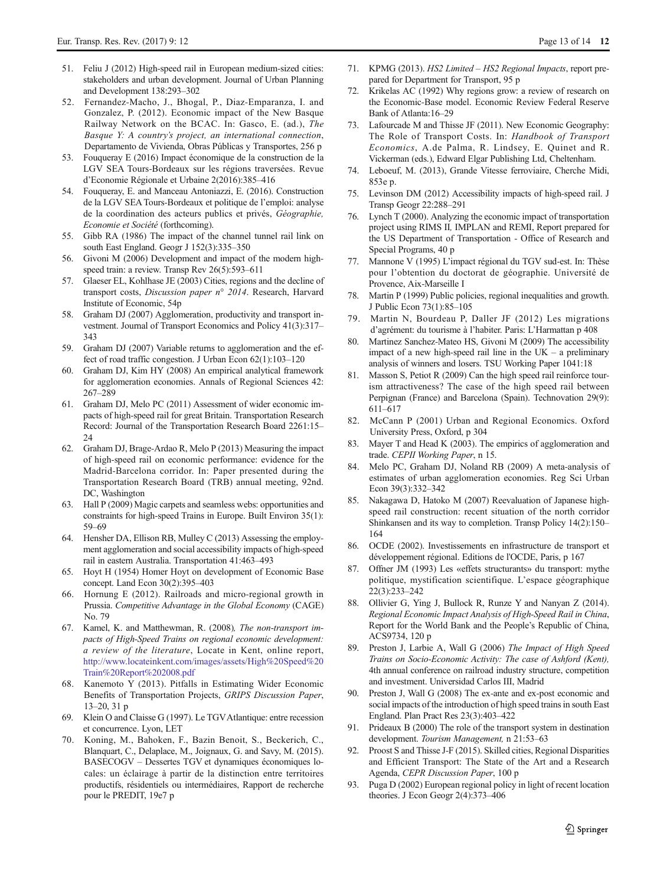- <span id="page-12-0"></span>51. Feliu J (2012) High-speed rail in European medium-sized cities: stakeholders and urban development. Journal of Urban Planning and Development 138:293–302
- 52. Fernandez-Macho, J., Bhogal, P., Diaz-Emparanza, I. and Gonzalez, P. (2012). Economic impact of the New Basque Railway Network on the BCAC. In: Gasco, E. (ad.), The Basque Y: A country's project, an international connection, Departamento de Vivienda, Obras Públicas y Transportes, 256 p
- 53. Fouqueray E (2016) Impact économique de la construction de la LGV SEA Tours-Bordeaux sur les régions traversées. Revue d'Economie Régionale et Urbaine 2(2016):385–416
- 54. Fouqueray, E. and Manceau Antoniazzi, E. (2016). Construction de la LGV SEA Tours-Bordeaux et politique de l'emploi: analyse de la coordination des acteurs publics et privés, Géographie, Economie et Société (forthcoming).
- 55. Gibb RA (1986) The impact of the channel tunnel rail link on south East England. Geogr J 152(3):335–350
- 56. Givoni M (2006) Development and impact of the modern highspeed train: a review. Transp Rev 26(5):593–611
- 57. Glaeser EL, Kohlhase JE (2003) Cities, regions and the decline of transport costs, Discussion paper n° 2014. Research, Harvard Institute of Economic, 54p
- Graham DJ (2007) Agglomeration, productivity and transport investment. Journal of Transport Economics and Policy 41(3):317– 343
- 59. Graham DJ (2007) Variable returns to agglomeration and the effect of road traffic congestion. J Urban Econ 62(1):103–120
- 60. Graham DJ, Kim HY (2008) An empirical analytical framework for agglomeration economies. Annals of Regional Sciences 42: 267–289
- 61. Graham DJ, Melo PC (2011) Assessment of wider economic impacts of high-speed rail for great Britain. Transportation Research Record: Journal of the Transportation Research Board 2261:15–  $24$
- 62. Graham DJ, Brage-Ardao R, Melo P (2013) Measuring the impact of high-speed rail on economic performance: evidence for the Madrid-Barcelona corridor. In: Paper presented during the Transportation Research Board (TRB) annual meeting, 92nd. DC, Washington
- 63. Hall P (2009) Magic carpets and seamless webs: opportunities and constraints for high-speed Trains in Europe. Built Environ 35(1): 59–69
- 64. Hensher DA, Ellison RB, Mulley C (2013) Assessing the employment agglomeration and social accessibility impacts of high-speed rail in eastern Australia. Transportation 41:463–493
- 65. Hoyt H (1954) Homer Hoyt on development of Economic Base concept. Land Econ 30(2):395–403
- 66. Hornung E (2012). Railroads and micro-regional growth in Prussia. Competitive Advantage in the Global Economy (CAGE) No. 79
- 67. Kamel, K. and Matthewman, R. (2008), The non-transport impacts of High-Speed Trains on regional economic development: a review of the literature, Locate in Kent, online report, [http://www.locateinkent.com/images/assets/High%20Speed%20](http://www.locateinkent.com/images/assets/High%20Speed%20Train%20Report%202008.pdf) [Train%20Report%202008.pdf](http://www.locateinkent.com/images/assets/High%20Speed%20Train%20Report%202008.pdf)
- 68. Kanemoto Y (2013). Pitfalls in Estimating Wider Economic Benefits of Transportation Projects, GRIPS Discussion Paper, 13–20, 31 p
- 69. Klein O and Claisse G (1997). Le TGVAtlantique: entre recession et concurrence. Lyon, LET
- 70. Koning, M., Bahoken, F., Bazin Benoit, S., Beckerich, C., Blanquart, C., Delaplace, M., Joignaux, G. and Savy, M. (2015). BASECOGV – Dessertes TGV et dynamiques économiques locales: un éclairage à partir de la distinction entre territoires productifs, résidentiels ou intermédiaires, Rapport de recherche pour le PREDIT, 19e7 p
- 71. KPMG (2013). HS2 Limited HS2 Regional Impacts, report prepared for Department for Transport, 95 p
- 72. Krikelas AC (1992) Why regions grow: a review of research on the Economic-Base model. Economic Review Federal Reserve Bank of Atlanta:16–29
- 73. Lafourcade M and Thisse JF (2011). New Economic Geography: The Role of Transport Costs. In: Handbook of Transport Economics, A.de Palma, R. Lindsey, E. Quinet and R. Vickerman (eds.), Edward Elgar Publishing Ltd, Cheltenham.
- 74. Leboeuf, M. (2013), Grande Vitesse ferroviaire, Cherche Midi, 853e p.
- 75. Levinson DM (2012) Accessibility impacts of high-speed rail. J Transp Geogr 22:288–291
- 76. Lynch T (2000). Analyzing the economic impact of transportation project using RIMS II, IMPLAN and REMI, Report prepared for the US Department of Transportation - Office of Research and Special Programs, 40 p
- 77. Mannone V (1995) L'impact régional du TGV sud-est. In: Thèse pour l'obtention du doctorat de géographie. Université de Provence, Aix-Marseille I
- 78. Martin P (1999) Public policies, regional inequalities and growth. J Public Econ 73(1):85–105
- 79. Martin N, Bourdeau P, Daller JF (2012) Les migrations d'agrément: du tourisme à l'habiter. Paris: L'Harmattan p 408
- 80. Martinez Sanchez-Mateo HS, Givoni M (2009) The accessibility impact of a new high-speed rail line in the UK – a preliminary analysis of winners and losers. TSU Working Paper 1041:18
- 81. Masson S, Petiot R (2009) Can the high speed rail reinforce tourism attractiveness? The case of the high speed rail between Perpignan (France) and Barcelona (Spain). Technovation 29(9): 611–617
- 82. McCann P (2001) Urban and Regional Economics. Oxford University Press, Oxford, p 304
- 83. Mayer T and Head K (2003). The empirics of agglomeration and trade. CEPII Working Paper, n 15.
- 84. Melo PC, Graham DJ, Noland RB (2009) A meta-analysis of estimates of urban agglomeration economies. Reg Sci Urban Econ 39(3):332–342
- Nakagawa D, Hatoko M (2007) Reevaluation of Japanese highspeed rail construction: recent situation of the north corridor Shinkansen and its way to completion. Transp Policy 14(2):150– 164
- 86. OCDE (2002). Investissements en infrastructure de transport et développement régional. Editions de l'OCDE, Paris, p 167
- 87. Offner JM (1993) Les «effets structurants» du transport: mythe politique, mystification scientifique. L'espace géographique 22(3):233–242
- 88. Ollivier G, Ying J, Bullock R, Runze Y and Nanyan Z (2014). Regional Economic Impact Analysis of High-Speed Rail in China, Report for the World Bank and the People's Republic of China, ACS9734, 120 p
- 89. Preston J, Larbie A, Wall G (2006) The Impact of High Speed Trains on Socio-Economic Activity: The case of Ashford (Kent), 4th annual conference on railroad industry structure, competition and investment. Universidad Carlos III, Madrid
- 90. Preston J, Wall G (2008) The ex-ante and ex-post economic and social impacts of the introduction of high speed trains in south East England. Plan Pract Res 23(3):403–422
- 91. Prideaux B (2000) The role of the transport system in destination development. Tourism Management, n 21:53–63
- 92. Proost S and Thisse J-F (2015). Skilled cities, Regional Disparities and Efficient Transport: The State of the Art and a Research Agenda, CEPR Discussion Paper, 100 p
- 93. Puga D (2002) European regional policy in light of recent location theories. J Econ Geogr 2(4):373–406